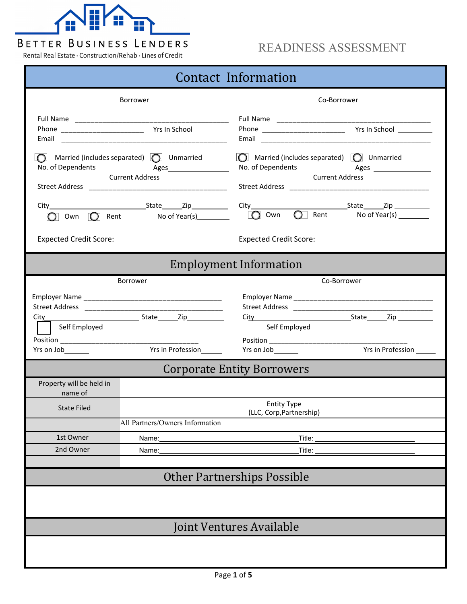

## READINESS ASSESSMENT

Rental Real Estate · Construction/Rehab · Lines of Credit

| Contact Information                                                                  |                                                                                         |                                                                                |  |  |  |  |
|--------------------------------------------------------------------------------------|-----------------------------------------------------------------------------------------|--------------------------------------------------------------------------------|--|--|--|--|
|                                                                                      | Borrower                                                                                | Co-Borrower                                                                    |  |  |  |  |
|                                                                                      |                                                                                         |                                                                                |  |  |  |  |
| $\bigcap$ Married (includes separated) $\bigcap$ Unmarried<br><b>Current Address</b> |                                                                                         | $\Box$ Married (includes separated) $\Box$ Unmarried<br><b>Current Address</b> |  |  |  |  |
|                                                                                      |                                                                                         |                                                                                |  |  |  |  |
|                                                                                      | Expected Credit Score: ___________________<br>Expected Credit Score: __________________ |                                                                                |  |  |  |  |
|                                                                                      |                                                                                         | <b>Employment Information</b>                                                  |  |  |  |  |
|                                                                                      | <b>Borrower</b>                                                                         | Co-Borrower                                                                    |  |  |  |  |
|                                                                                      |                                                                                         |                                                                                |  |  |  |  |
| Self Employed                                                                        |                                                                                         | City State Zip<br>Self Employed                                                |  |  |  |  |
| Yrs on Job_______                                                                    | Yrs in Profession_______                                                                | Yrs in Profession ______<br>Yrs on Job_______                                  |  |  |  |  |
|                                                                                      |                                                                                         | <b>Corporate Entity Borrowers</b>                                              |  |  |  |  |
| Property will be held in<br>name of                                                  |                                                                                         |                                                                                |  |  |  |  |
| <b>State Filed</b>                                                                   |                                                                                         | <b>Entity Type</b><br>(LLC, Corp, Partnership)                                 |  |  |  |  |
|                                                                                      | All Partners/Owners Information                                                         |                                                                                |  |  |  |  |
| 1st Owner                                                                            | Name:                                                                                   | Title:                                                                         |  |  |  |  |
| 2nd Owner                                                                            | Name:                                                                                   | Title:                                                                         |  |  |  |  |
| <b>Other Partnerships Possible</b>                                                   |                                                                                         |                                                                                |  |  |  |  |
|                                                                                      |                                                                                         |                                                                                |  |  |  |  |
| Joint Ventures Available                                                             |                                                                                         |                                                                                |  |  |  |  |
|                                                                                      |                                                                                         |                                                                                |  |  |  |  |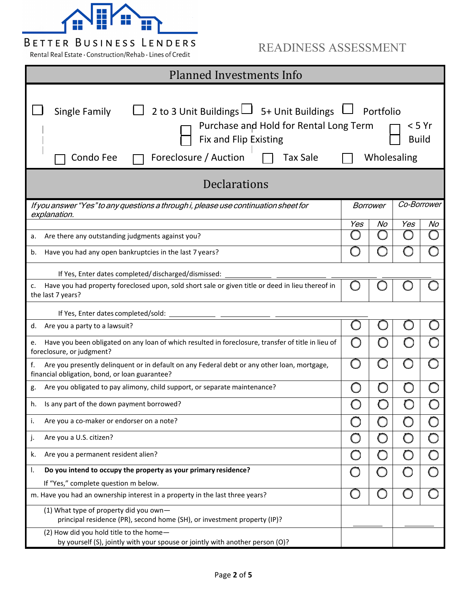

### READINESS ASSESSMENT

Rental Real Estate · Construction/Rehab · Lines of Credit

| <b>Planned Investments Info</b>                                                                                                                                                                                                                       |     |        |             |    |  |  |
|-------------------------------------------------------------------------------------------------------------------------------------------------------------------------------------------------------------------------------------------------------|-----|--------|-------------|----|--|--|
| 2 to 3 Unit Buildings $\Box$ 5+ Unit Buildings $\Box$ Portfolio<br>Single Family<br>Purchase and Hold for Rental Long Term<br>< 5 Yr<br>Fix and Flip Existing<br><b>Build</b><br>Foreclosure / Auction<br><b>Tax Sale</b><br>Wholesaling<br>Condo Fee |     |        |             |    |  |  |
| <b>Declarations</b>                                                                                                                                                                                                                                   |     |        |             |    |  |  |
| If you answer "Yes" to any questions a through i, please use continuation sheet for<br>explanation.                                                                                                                                                   |     |        | Co-Borrower |    |  |  |
|                                                                                                                                                                                                                                                       | Yes | No     | Yes         | No |  |  |
| Are there any outstanding judgments against you?<br>a.                                                                                                                                                                                                |     |        |             |    |  |  |
| Have you had any open bankruptcies in the last 7 years?<br>b.                                                                                                                                                                                         |     |        |             |    |  |  |
| If Yes, Enter dates completed/discharged/dismissed:                                                                                                                                                                                                   |     |        |             |    |  |  |
| Have you had property foreclosed upon, sold short sale or given title or deed in lieu thereof in<br>c.<br>the last 7 years?                                                                                                                           |     |        |             |    |  |  |
| If Yes, Enter dates completed/sold:                                                                                                                                                                                                                   |     |        |             |    |  |  |
| Are you a party to a lawsuit?<br>d.                                                                                                                                                                                                                   |     |        |             |    |  |  |
| Have you been obligated on any loan of which resulted in foreclosure, transfer of title in lieu of<br>e.<br>foreclosure, or judgment?                                                                                                                 |     |        |             |    |  |  |
| Are you presently delinquent or in default on any Federal debt or any other loan, mortgage,<br>financial obligation, bond, or loan guarantee?                                                                                                         |     |        |             |    |  |  |
| Are you obligated to pay alimony, child support, or separate maintenance?<br>g.                                                                                                                                                                       |     |        |             |    |  |  |
| h.<br>Is any part of the down payment borrowed?                                                                                                                                                                                                       |     |        |             |    |  |  |
| Are you a co-maker or endorser on a note?<br>i.                                                                                                                                                                                                       |     | Г      |             |    |  |  |
| j.<br>Are you a U.S. citizen?                                                                                                                                                                                                                         |     | $\Box$ |             |    |  |  |
| k.<br>Are you a permanent resident alien?                                                                                                                                                                                                             |     |        | O           |    |  |  |
| Do you intend to occupy the property as your primary residence?<br>Ι.                                                                                                                                                                                 |     |        | $\bigcirc$  |    |  |  |
| If "Yes," complete question m below.                                                                                                                                                                                                                  |     |        |             |    |  |  |
| m. Have you had an ownership interest in a property in the last three years?                                                                                                                                                                          |     |        |             |    |  |  |
| (1) What type of property did you own-<br>principal residence (PR), second home (SH), or investment property (IP)?                                                                                                                                    |     |        |             |    |  |  |
| (2) How did you hold title to the home-<br>by yourself (S), jointly with your spouse or jointly with another person (O)?                                                                                                                              |     |        |             |    |  |  |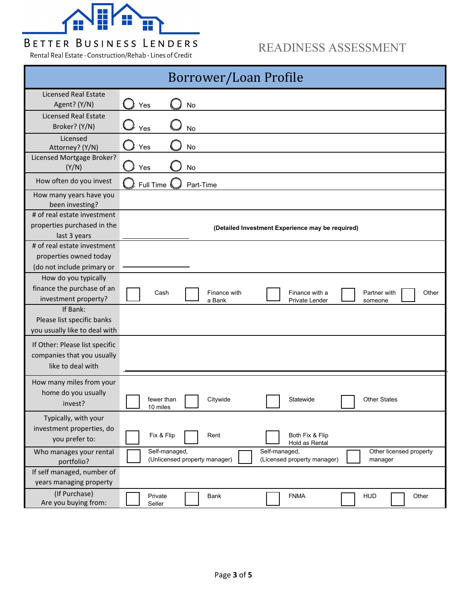

Rental Real Estate · Construction/Rehab · Lines of Credit

### READINESS ASSESSMENT

| <b>Borrower/Loan Profile</b>                                                        |                                                                                                                                      |  |  |  |
|-------------------------------------------------------------------------------------|--------------------------------------------------------------------------------------------------------------------------------------|--|--|--|
| <b>Licensed Real Estate</b><br>Agent? (Y/N)                                         | Yes<br>No                                                                                                                            |  |  |  |
| <b>Licensed Real Estate</b><br>Broker? (Y/N)                                        | Yes<br>No                                                                                                                            |  |  |  |
| Licensed<br>Attorney? (Y/N)                                                         | Yes<br>No                                                                                                                            |  |  |  |
| Licensed Mortgage Broker?<br>(Y/N)                                                  | Yes<br>No                                                                                                                            |  |  |  |
| How often do you invest                                                             | Full Time<br>Part-Time                                                                                                               |  |  |  |
| How many years have you<br>been investing?                                          |                                                                                                                                      |  |  |  |
| # of real estate investment<br>properties purchased in the<br>last 3 years          | (Detailed Investment Experience may be required)                                                                                     |  |  |  |
| # of real estate investment<br>properties owned today<br>(do not include primary or |                                                                                                                                      |  |  |  |
| How do you typically<br>finance the purchase of an<br>investment property?          | Finance with<br>Finance with a<br>Other<br>Cash<br>Partner with<br>a Bank<br><b>Private Lender</b><br>someone                        |  |  |  |
| If Bank:<br>Please list specific banks<br>you usually like to deal with             |                                                                                                                                      |  |  |  |
| If Other: Please list specific<br>companies that you usually<br>like to deal with   |                                                                                                                                      |  |  |  |
| How many miles from your<br>home do you usually<br>invest?                          | Citywide<br><b>Other States</b><br>fewer than<br>Statewide<br>10 miles                                                               |  |  |  |
| Typically, with your<br>investment properties, do<br>you prefer to:                 | Fix & Flip<br>Rent<br>Both Fix & Flip<br>Hold as Rental                                                                              |  |  |  |
| Who manages your rental<br>portfolio?                                               | Self-managed,<br>Self-managed,<br>Other licensed property<br>(Unlicensed property manager)<br>(Licensed property manager)<br>manager |  |  |  |
| If self managed, number of<br>years managing property                               |                                                                                                                                      |  |  |  |
| (If Purchase)<br>Are you buying from:                                               | Private<br>Bank<br><b>FNMA</b><br><b>HUD</b><br>Other<br>Seller                                                                      |  |  |  |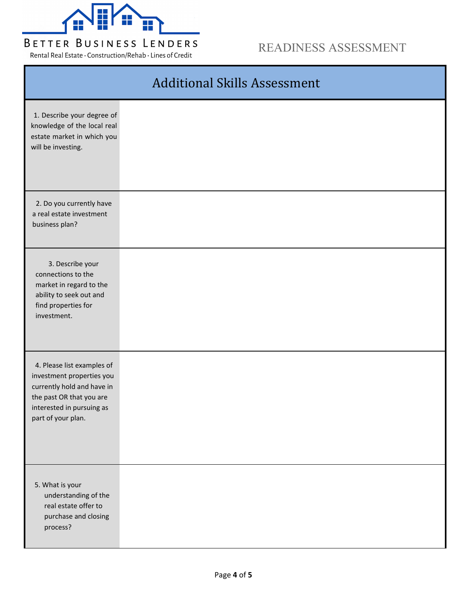

Rental Real Estate · Construction/Rehab · Lines of Credit

### READINESS ASSESSMENT

|                                                                                                                                                                      | <b>Additional Skills Assessment</b> |
|----------------------------------------------------------------------------------------------------------------------------------------------------------------------|-------------------------------------|
| 1. Describe your degree of<br>knowledge of the local real<br>estate market in which you<br>will be investing.                                                        |                                     |
| 2. Do you currently have<br>a real estate investment<br>business plan?                                                                                               |                                     |
| 3. Describe your<br>connections to the<br>market in regard to the<br>ability to seek out and<br>find properties for<br>investment.                                   |                                     |
| 4. Please list examples of<br>investment properties you<br>currently hold and have in<br>the past OR that you are<br>interested in pursuing as<br>part of your plan. |                                     |
| 5. What is your<br>understanding of the<br>real estate offer to<br>purchase and closing<br>process?                                                                  |                                     |